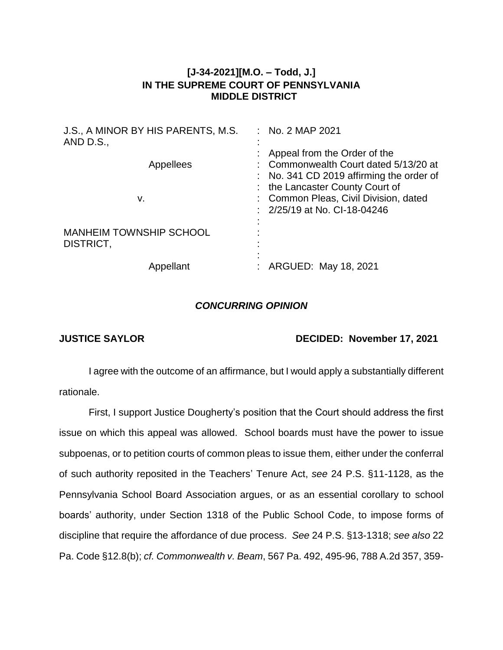## **[J-34-2021][M.O. – Todd, J.] IN THE SUPREME COURT OF PENNSYLVANIA MIDDLE DISTRICT**

| J.S., A MINOR BY HIS PARENTS, M.S.<br>AND $D.S.,$ | $\therefore$ No. 2 MAP 2021                                                                                                                          |
|---------------------------------------------------|------------------------------------------------------------------------------------------------------------------------------------------------------|
| Appellees                                         | Appeal from the Order of the<br>: Commonwealth Court dated 5/13/20 at<br>: No. 341 CD 2019 affirming the order of<br>: the Lancaster County Court of |
| v.                                                | : Common Pleas, Civil Division, dated<br>$\frac{1}{2}$ 2/25/19 at No. CI-18-04246                                                                    |
| <b>MANHEIM TOWNSHIP SCHOOL</b><br>DISTRICT,       |                                                                                                                                                      |
| Appellant                                         | ARGUED: May 18, 2021                                                                                                                                 |

## *CONCURRING OPINION*

## **JUSTICE SAYLOR DECIDED: November 17, 2021**

I agree with the outcome of an affirmance, but I would apply a substantially different rationale.

First, I support Justice Dougherty's position that the Court should address the first issue on which this appeal was allowed. School boards must have the power to issue subpoenas, or to petition courts of common pleas to issue them, either under the conferral of such authority reposited in the Teachers' Tenure Act, *see* 24 P.S. §11-1128, as the Pennsylvania School Board Association argues, or as an essential corollary to school boards' authority, under Section 1318 of the Public School Code, to impose forms of discipline that require the affordance of due process. *See* 24 P.S. §13-1318; *see also* 22 Pa. Code §12.8(b); *cf. Commonwealth v. Beam*, 567 Pa. 492, 495-96, 788 A.2d 357, 359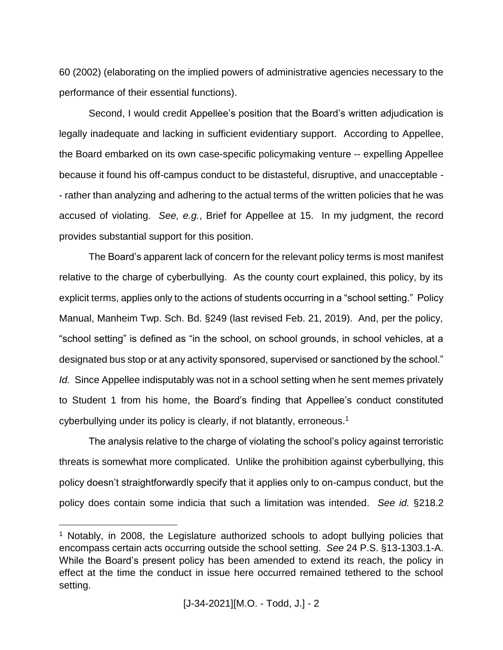60 (2002) (elaborating on the implied powers of administrative agencies necessary to the performance of their essential functions).

Second, I would credit Appellee's position that the Board's written adjudication is legally inadequate and lacking in sufficient evidentiary support. According to Appellee, the Board embarked on its own case-specific policymaking venture -- expelling Appellee because it found his off-campus conduct to be distasteful, disruptive, and unacceptable - - rather than analyzing and adhering to the actual terms of the written policies that he was accused of violating. *See, e.g.*, Brief for Appellee at 15. In my judgment, the record provides substantial support for this position.

The Board's apparent lack of concern for the relevant policy terms is most manifest relative to the charge of cyberbullying. As the county court explained, this policy, by its explicit terms, applies only to the actions of students occurring in a "school setting." Policy Manual, Manheim Twp. Sch. Bd. §249 (last revised Feb. 21, 2019). And, per the policy, "school setting" is defined as "in the school, on school grounds, in school vehicles, at a designated bus stop or at any activity sponsored, supervised or sanctioned by the school." *Id.* Since Appellee indisputably was not in a school setting when he sent memes privately to Student 1 from his home, the Board's finding that Appellee's conduct constituted cyberbullying under its policy is clearly, if not blatantly, erroneous.<sup>1</sup>

The analysis relative to the charge of violating the school's policy against terroristic threats is somewhat more complicated. Unlike the prohibition against cyberbullying, this policy doesn't straightforwardly specify that it applies only to on-campus conduct, but the policy does contain some indicia that such a limitation was intended. *See id.* §218.2

<sup>&</sup>lt;sup>1</sup> Notably, in 2008, the Legislature authorized schools to adopt bullying policies that encompass certain acts occurring outside the school setting. *See* 24 P.S. §13-1303.1-A. While the Board's present policy has been amended to extend its reach, the policy in effect at the time the conduct in issue here occurred remained tethered to the school setting.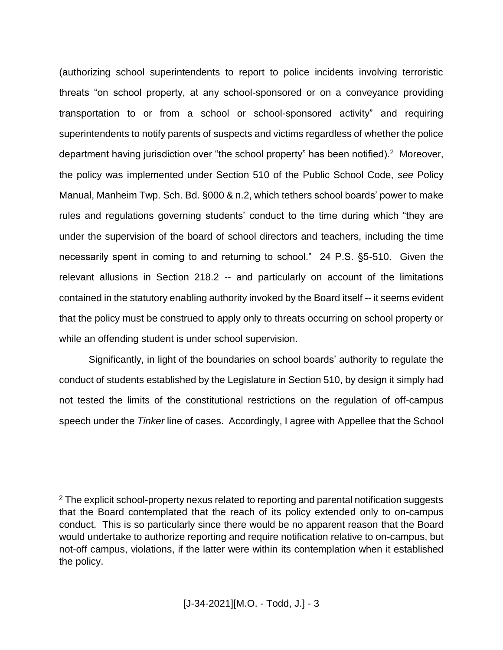(authorizing school superintendents to report to police incidents involving terroristic threats "on school property, at any school-sponsored or on a conveyance providing transportation to or from a school or school-sponsored activity" and requiring superintendents to notify parents of suspects and victims regardless of whether the police department having jurisdiction over "the school property" has been notified).<sup>2</sup> Moreover, the policy was implemented under Section 510 of the Public School Code, *see* Policy Manual, Manheim Twp. Sch. Bd. §000 & n.2, which tethers school boards' power to make rules and regulations governing students' conduct to the time during which "they are under the supervision of the board of school directors and teachers, including the time necessarily spent in coming to and returning to school." 24 P.S. §5-510. Given the relevant allusions in Section 218.2 -- and particularly on account of the limitations contained in the statutory enabling authority invoked by the Board itself -- it seems evident that the policy must be construed to apply only to threats occurring on school property or while an offending student is under school supervision.

Significantly, in light of the boundaries on school boards' authority to regulate the conduct of students established by the Legislature in Section 510, by design it simply had not tested the limits of the constitutional restrictions on the regulation of off-campus speech under the *Tinker* line of cases. Accordingly, I agree with Appellee that the School

 $2$  The explicit school-property nexus related to reporting and parental notification suggests that the Board contemplated that the reach of its policy extended only to on-campus conduct. This is so particularly since there would be no apparent reason that the Board would undertake to authorize reporting and require notification relative to on-campus, but not-off campus, violations, if the latter were within its contemplation when it established the policy.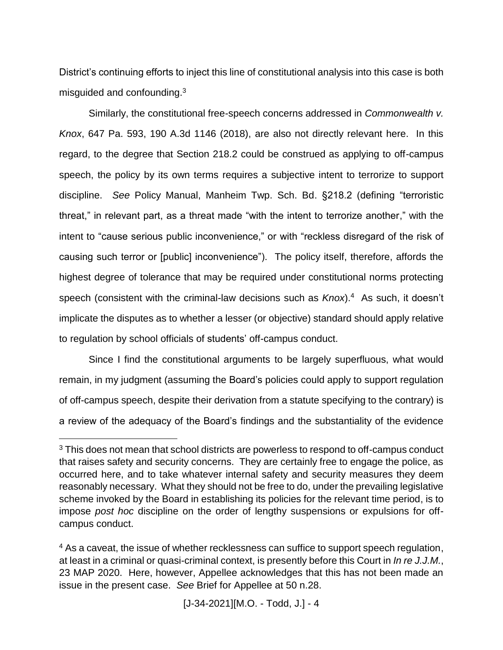District's continuing efforts to inject this line of constitutional analysis into this case is both misguided and confounding.<sup>3</sup>

Similarly, the constitutional free-speech concerns addressed in *Commonwealth v. Knox*, 647 Pa. 593, 190 A.3d 1146 (2018), are also not directly relevant here. In this regard, to the degree that Section 218.2 could be construed as applying to off-campus speech, the policy by its own terms requires a subjective intent to terrorize to support discipline. *See* Policy Manual, Manheim Twp. Sch. Bd. §218.2 (defining "terroristic threat," in relevant part, as a threat made "with the intent to terrorize another," with the intent to "cause serious public inconvenience," or with "reckless disregard of the risk of causing such terror or [public] inconvenience"). The policy itself, therefore, affords the highest degree of tolerance that may be required under constitutional norms protecting speech (consistent with the criminal-law decisions such as *Knox*). 4 As such, it doesn't implicate the disputes as to whether a lesser (or objective) standard should apply relative to regulation by school officials of students' off-campus conduct.

Since I find the constitutional arguments to be largely superfluous, what would remain, in my judgment (assuming the Board's policies could apply to support regulation of off-campus speech, despite their derivation from a statute specifying to the contrary) is a review of the adequacy of the Board's findings and the substantiality of the evidence

<sup>&</sup>lt;sup>3</sup> This does not mean that school districts are powerless to respond to off-campus conduct that raises safety and security concerns. They are certainly free to engage the police, as occurred here, and to take whatever internal safety and security measures they deem reasonably necessary. What they should not be free to do, under the prevailing legislative scheme invoked by the Board in establishing its policies for the relevant time period, is to impose *post hoc* discipline on the order of lengthy suspensions or expulsions for offcampus conduct.

<sup>&</sup>lt;sup>4</sup> As a caveat, the issue of whether recklessness can suffice to support speech regulation, at least in a criminal or quasi-criminal context, is presently before this Court in *In re J.J.M.*, 23 MAP 2020. Here, however, Appellee acknowledges that this has not been made an issue in the present case. *See* Brief for Appellee at 50 n.28.